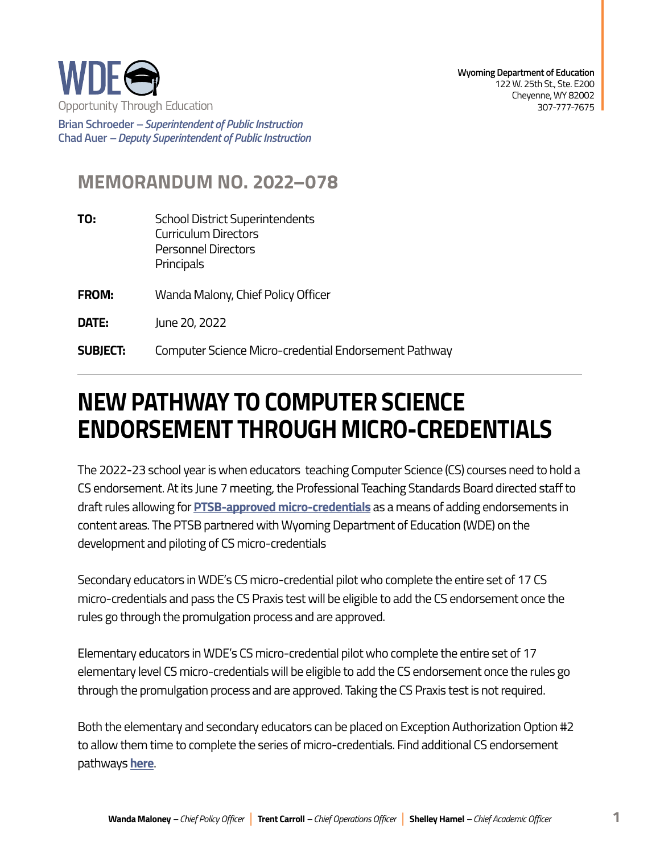

**Brian Schroeder –***Superintendent of Public Instruction*  **Chad Auer** *– Deputy Superintendent of Public Instruction* 

## **MEMORANDUM NO. 2022–078**

- **TO:** School District Superintendents Curriculum Directors Personnel Directors **Principals**
- **FROM:** Wanda Malony, Chief Policy Officer
- **DATE:** June 20, 2022
- **SUBJECT:** Computer Science Micro-credential Endorsement Pathway

## **NEW PATHWAY TO COMPUTER SCIENCE ENDORSEMENT THROUGH MICRO-CREDENTIALS**

The 2022-23 school year is when educators teaching Computer Science (CS) courses need to hold a CS endorsement. At its June 7 meeting, the Professional Teaching Standards Board directed staff to draft rules allowing for **[PTSB-approved micro-credentials](https://wde.midaseducation.com/microcredentials)** as a means of adding endorsements in content areas. The PTSB partnered with Wyoming Department of Education (WDE) on the development and piloting of CS micro-credentials

Secondary educators in WDE's CS micro-credential pilot who complete the entire set of 17 CS micro-credentials and pass the CS Praxis test will be eligible to add the CS endorsement once the rules go through the promulgation process and are approved.

Elementary educators in WDE's CS micro-credential pilot who complete the entire set of 17 elementary level CS micro-credentials will be eligible to add the CS endorsement once the rules go through the promulgation process and are approved. Taking the CS Praxis test is not required.

Both the elementary and secondary educators can be placed on Exception Authorization Option #2 to allow them time to complete the series of micro-credentials. Find additional CS endorsement pathways **[here](https://edu.wyoming.gov/wp-content/uploads/2022/04/2022-Computer-Science-Endorsement-Information.pdf)**.